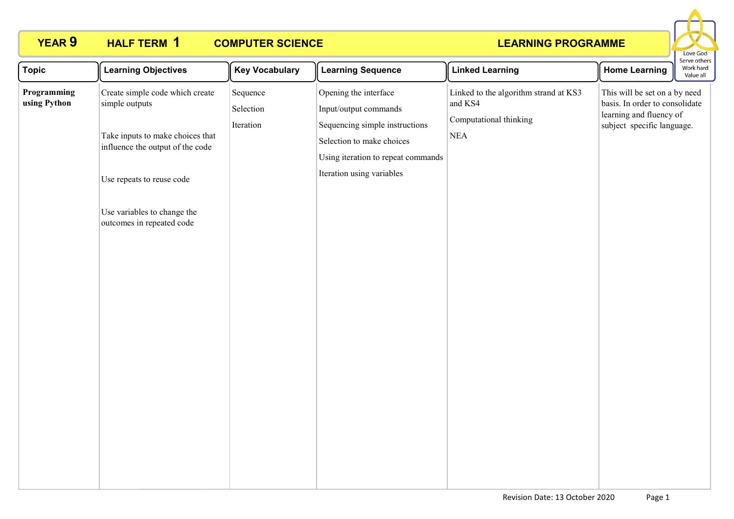# **HALF TERM 1**

# **YEAR 9 HALF TERM COMPUTER SCIENCE**



| <b>Topic</b>                | <b>Learning Objectives</b>                                                                                                                                                                                         | <b>Key Vocabulary</b>              | <b>Learning Sequence</b>                                                                                                                                                         | <b>Linked Learning</b>                                                                  | <b>Home Learning</b>                                                                                                     | Work hard<br>Value all |
|-----------------------------|--------------------------------------------------------------------------------------------------------------------------------------------------------------------------------------------------------------------|------------------------------------|----------------------------------------------------------------------------------------------------------------------------------------------------------------------------------|-----------------------------------------------------------------------------------------|--------------------------------------------------------------------------------------------------------------------------|------------------------|
| Programming<br>using Python | Create simple code which create<br>simple outputs<br>Take inputs to make choices that<br>influence the output of the code<br>Use repeats to reuse code<br>Use variables to change the<br>outcomes in repeated code | Sequence<br>Selection<br>Iteration | Opening the interface<br>Input/output commands<br>Sequencing simple instructions<br>Selection to make choices<br>Using iteration to repeat commands<br>Iteration using variables | Linked to the algorithm strand at KS3<br>and KS4<br>Computational thinking<br>$\rm NEA$ | This will be set on a by need<br>basis. In order to consolidate<br>learning and fluency of<br>subject specific language. |                        |
|                             |                                                                                                                                                                                                                    |                                    |                                                                                                                                                                                  |                                                                                         |                                                                                                                          |                        |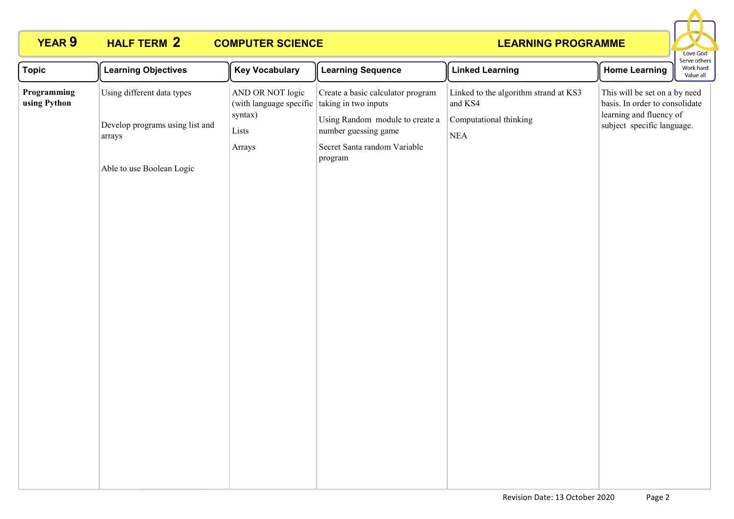

| Using different data types<br>Linked to the algorithm strand at KS3<br>This will be set on a by need<br>AND OR NOT logic<br>Create a basic calculator program<br>Programming<br>(with language specific<br>basis. In order to consolidate<br>using Python<br>taking in two inputs<br>and KS4<br>learning and fluency of<br>syntax)<br>Using Random module to create a<br>Computational thinking<br>Develop programs using list and<br>subject specific language.<br>Lists<br>number guessing game<br><b>NEA</b><br>arrays<br>Secret Santa random Variable<br>Arrays<br>program<br>Able to use Boolean Logic |
|-------------------------------------------------------------------------------------------------------------------------------------------------------------------------------------------------------------------------------------------------------------------------------------------------------------------------------------------------------------------------------------------------------------------------------------------------------------------------------------------------------------------------------------------------------------------------------------------------------------|
|                                                                                                                                                                                                                                                                                                                                                                                                                                                                                                                                                                                                             |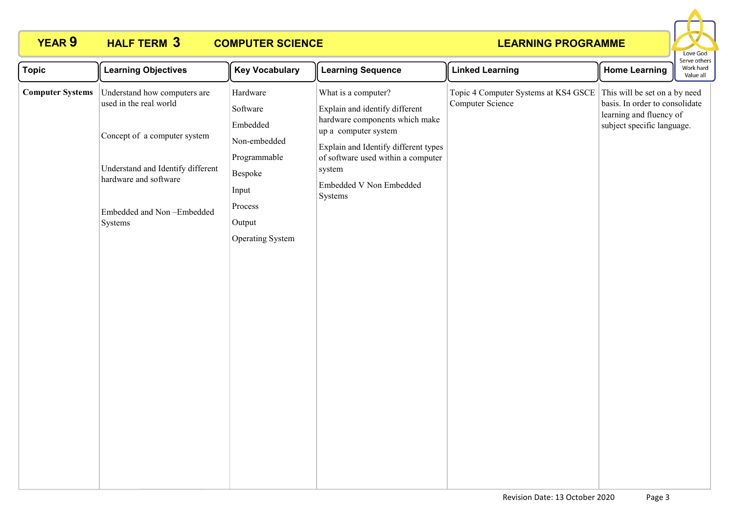# **HALF TERM 3**

# **YEAR 9 HALF TERM COMPUTER SCIENCE**



| <b>Topic</b>            | <b>Learning Objectives</b>                                                                                                         | <b>Key Vocabulary</b>                                                                     | <b>Learning Sequence</b>                                                                                                                           | <b>Linked Learning</b>                                                                 | <b>Home Learning</b>                                                                    | erve otrier<br>Work hard<br>Value all |
|-------------------------|------------------------------------------------------------------------------------------------------------------------------------|-------------------------------------------------------------------------------------------|----------------------------------------------------------------------------------------------------------------------------------------------------|----------------------------------------------------------------------------------------|-----------------------------------------------------------------------------------------|---------------------------------------|
| <b>Computer Systems</b> | Understand how computers are<br>used in the real world                                                                             | Hardware<br>Software<br>Embedded                                                          | What is a computer?<br>Explain and identify different<br>hardware components which make                                                            | Topic 4 Computer Systems at KS4 GSCE This will be set on a by need<br>Computer Science | basis. In order to consolidate<br>learning and fluency of<br>subject specific language. |                                       |
|                         | Concept of a computer system<br>Understand and Identify different<br>hardware and software<br>Embedded and Non-Embedded<br>Systems | Non-embedded<br>Programmable<br>Bespoke<br>Input<br>Process<br>Output<br>Operating System | up a computer system<br>Explain and Identify different types<br>of software used within a computer<br>system<br>Embedded V Non Embedded<br>Systems |                                                                                        |                                                                                         |                                       |
|                         |                                                                                                                                    |                                                                                           |                                                                                                                                                    |                                                                                        |                                                                                         |                                       |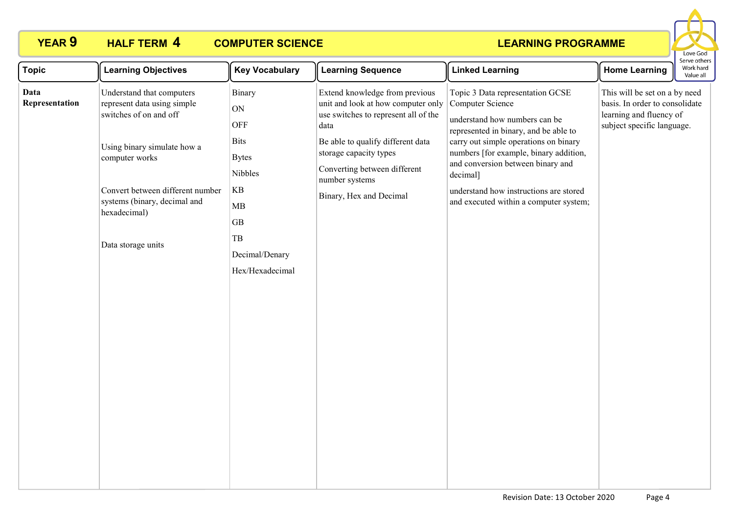

| <b>Topic</b>           | <b>Learning Objectives</b>                                                                                                                                                                                                                    | <b>Key Vocabulary</b>                                                                                                                                  | <b>Learning Sequence</b>                                                                                                                                                                                                                                         | <b>Linked Learning</b>                                                                                                                                                                                                                                                                                                                                 | <b>Home Learning</b>                                                                                                     | serve othe<br>Work hard<br>Value all |
|------------------------|-----------------------------------------------------------------------------------------------------------------------------------------------------------------------------------------------------------------------------------------------|--------------------------------------------------------------------------------------------------------------------------------------------------------|------------------------------------------------------------------------------------------------------------------------------------------------------------------------------------------------------------------------------------------------------------------|--------------------------------------------------------------------------------------------------------------------------------------------------------------------------------------------------------------------------------------------------------------------------------------------------------------------------------------------------------|--------------------------------------------------------------------------------------------------------------------------|--------------------------------------|
| Data<br>Representation | Understand that computers<br>represent data using simple<br>switches of on and off<br>Using binary simulate how a<br>computer works<br>Convert between different number<br>systems (binary, decimal and<br>hexadecimal)<br>Data storage units | Binary<br>ON<br>OFF<br><b>Bits</b><br><b>Bytes</b><br>Nibbles<br>$\mathbf{KB}$<br>MB<br>$\operatorname{GB}$<br>TB<br>Decimal/Denary<br>Hex/Hexadecimal | Extend knowledge from previous<br>unit and look at how computer only<br>use switches to represent all of the<br>data<br>Be able to qualify different data<br>storage capacity types<br>Converting between different<br>number systems<br>Binary, Hex and Decimal | Topic 3 Data representation GCSE<br>Computer Science<br>understand how numbers can be<br>represented in binary, and be able to<br>carry out simple operations on binary<br>numbers [for example, binary addition,<br>and conversion between binary and<br>decimal]<br>understand how instructions are stored<br>and executed within a computer system; | This will be set on a by need<br>basis. In order to consolidate<br>learning and fluency of<br>subject specific language. |                                      |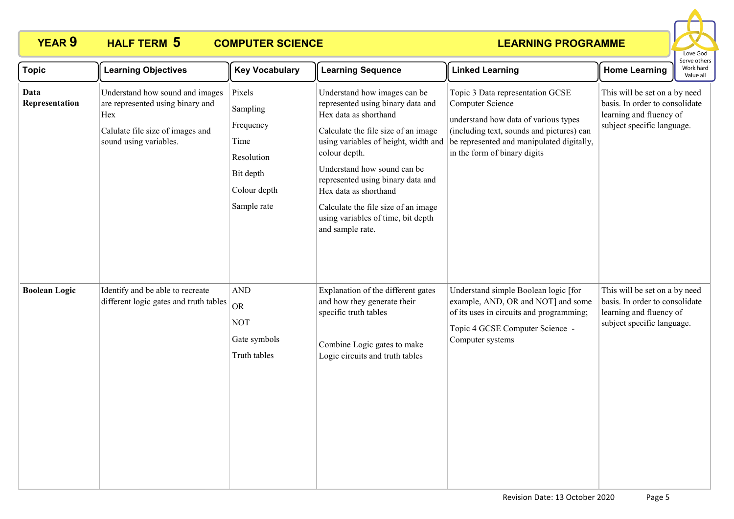

| <b>Topic</b>           | <b>Learning Objectives</b>                                                                                                               | <b>Key Vocabulary</b>                                                                             | <b>Learning Sequence</b>                                                                                                                                                                                                                                                                                                                                                                 | <b>Linked Learning</b>                                                                                                                                                                                                 | <b>Home Learning</b>                                                                                                     | Serve others<br>Work hard<br>Value all |
|------------------------|------------------------------------------------------------------------------------------------------------------------------------------|---------------------------------------------------------------------------------------------------|------------------------------------------------------------------------------------------------------------------------------------------------------------------------------------------------------------------------------------------------------------------------------------------------------------------------------------------------------------------------------------------|------------------------------------------------------------------------------------------------------------------------------------------------------------------------------------------------------------------------|--------------------------------------------------------------------------------------------------------------------------|----------------------------------------|
| Data<br>Representation | Understand how sound and images<br>are represented using binary and<br>Hex<br>Calulate file size of images and<br>sound using variables. | Pixels<br>Sampling<br>Frequency<br>Time<br>Resolution<br>Bit depth<br>Colour depth<br>Sample rate | Understand how images can be<br>represented using binary data and<br>Hex data as shorthand<br>Calculate the file size of an image<br>using variables of height, width and<br>colour depth.<br>Understand how sound can be<br>represented using binary data and<br>Hex data as shorthand<br>Calculate the file size of an image<br>using variables of time, bit depth<br>and sample rate. | Topic 3 Data representation GCSE<br>Computer Science<br>understand how data of various types<br>(including text, sounds and pictures) can<br>be represented and manipulated digitally,<br>in the form of binary digits | This will be set on a by need<br>basis. In order to consolidate<br>learning and fluency of<br>subject specific language. |                                        |
| <b>Boolean Logic</b>   | Identify and be able to recreate<br>different logic gates and truth tables                                                               | $\operatorname{AND}$<br><b>OR</b><br><b>NOT</b><br>Gate symbols<br>Truth tables                   | Explanation of the different gates<br>and how they generate their<br>specific truth tables<br>Combine Logic gates to make<br>Logic circuits and truth tables                                                                                                                                                                                                                             | Understand simple Boolean logic [for<br>example, AND, OR and NOT] and some<br>of its uses in circuits and programming;<br>Topic 4 GCSE Computer Science -<br>Computer systems                                          | This will be set on a by need<br>basis. In order to consolidate<br>learning and fluency of<br>subject specific language. |                                        |